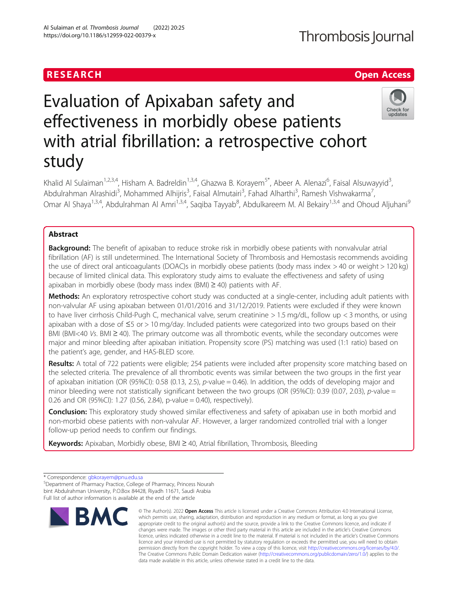## **RESEARCH CHE Open Access**

# Evaluation of Apixaban safety and effectiveness in morbidly obese patients with atrial fibrillation: a retrospective cohort study



Khalid Al Sulaiman<sup>1,2,3,4</sup>, Hisham A. Badreldin<sup>1,3,4</sup>, Ghazwa B. Korayem<sup>5\*</sup>, Abeer A. Alenazi<sup>6</sup>, Faisal Alsuwayyid<sup>3</sup> , Abdulrahman Alrashidi<sup>3</sup>, Mohammed Alhijris<sup>3</sup>, Faisal Almutairi<sup>3</sup>, Fahad Alharthi<sup>3</sup>, Ramesh Vishwakarma<sup>7</sup> , Omar Al Shaya<sup>1,3,4</sup>, Abdulrahman Al Amri<sup>1,3,4</sup>, Saqiba Tayyab<sup>8</sup>, Abdulkareem M. Al Bekairy<sup>1,3,4</sup> and Ohoud Aljuhani<sup>s</sup>

### Abstract

**Background:** The benefit of apixaban to reduce stroke risk in morbidly obese patients with nonvalvular atrial fibrillation (AF) is still undetermined. The International Society of Thrombosis and Hemostasis recommends avoiding the use of direct oral anticoagulants (DOAC)s in morbidly obese patients (body mass index > 40 or weight > 120 kg) because of limited clinical data. This exploratory study aims to evaluate the effectiveness and safety of using apixaban in morbidly obese (body mass index (BMI) ≥ 40) patients with AF.

Methods: An exploratory retrospective cohort study was conducted at a single-center, including adult patients with non-valvular AF using apixaban between 01/01/2016 and 31/12/2019. Patients were excluded if they were known to have liver cirrhosis Child-Pugh C, mechanical valve, serum creatinine > 1.5 mg/dL, follow up < 3 months, or using apixaban with a dose of ≤5 or > 10 mg/day. Included patients were categorized into two groups based on their BMI (BMI<40 Vs. BMI ≥ 40). The primary outcome was all thrombotic events, while the secondary outcomes were major and minor bleeding after apixaban initiation. Propensity score (PS) matching was used (1:1 ratio) based on the patient's age, gender, and HAS-BLED score.

Results: A total of 722 patients were eligible; 254 patients were included after propensity score matching based on the selected criteria. The prevalence of all thrombotic events was similar between the two groups in the first year of apixaban initiation (OR (95%CI): 0.58 (0.13, 2.5), p-value = 0.46). In addition, the odds of developing major and minor bleeding were not statistically significant between the two groups (OR (95%CI): 0.39 (0.07, 2.03), p-value = 0.26 and OR (95%CI): 1.27 (0.56, 2.84), p-value = 0.40), respectively).

**Conclusion:** This exploratory study showed similar effectiveness and safety of apixaban use in both morbid and non-morbid obese patients with non-valvular AF. However, a larger randomized controlled trial with a longer follow-up period needs to confirm our findings.

Keywords: Apixaban, Morbidly obese, BMI ≥ 40, Atrial fibrillation, Thrombosis, Bleeding

Department of Pharmacy Practice, College of Pharmacy, Princess Nourah bint Abdulrahman University, P.O.Box 84428, Riyadh 11671, Saudi Arabia Full list of author information is available at the end of the article



<sup>©</sup> The Author(s), 2022 **Open Access** This article is licensed under a Creative Commons Attribution 4.0 International License, which permits use, sharing, adaptation, distribution and reproduction in any medium or format, as long as you give appropriate credit to the original author(s) and the source, provide a link to the Creative Commons licence, and indicate if changes were made. The images or other third party material in this article are included in the article's Creative Commons licence, unless indicated otherwise in a credit line to the material. If material is not included in the article's Creative Commons licence and your intended use is not permitted by statutory regulation or exceeds the permitted use, you will need to obtain permission directly from the copyright holder. To view a copy of this licence, visit [http://creativecommons.org/licenses/by/4.0/.](http://creativecommons.org/licenses/by/4.0/) The Creative Commons Public Domain Dedication waiver [\(http://creativecommons.org/publicdomain/zero/1.0/](http://creativecommons.org/publicdomain/zero/1.0/)) applies to the data made available in this article, unless otherwise stated in a credit line to the data.

<sup>\*</sup> Correspondence: [gbkorayem@pnu.edu.sa](mailto:gbkorayem@pnu.edu.sa) <sup>5</sup>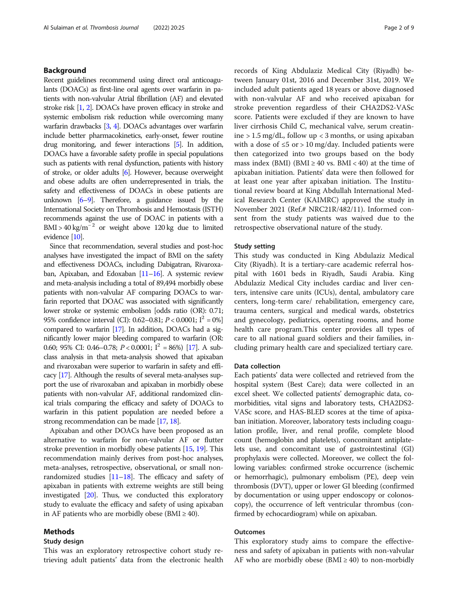#### Background

Recent guidelines recommend using direct oral anticoagulants (DOACs) as first-line oral agents over warfarin in patients with non-valvular Atrial fibrillation (AF) and elevated stroke risk [[1](#page-7-0), [2\]](#page-7-0). DOACs have proven efficacy in stroke and systemic embolism risk reduction while overcoming many warfarin drawbacks [\[3](#page-7-0), [4](#page-7-0)]. DOACs advantages over warfarin include better pharmacokinetics, early-onset, fewer routine drug monitoring, and fewer interactions [\[5](#page-7-0)]. In addition, DOACs have a favorable safety profile in special populations such as patients with renal dysfunction, patients with history of stroke, or older adults [[6](#page-7-0)]. However, because overweight and obese adults are often underrepresented in trials, the safety and effectiveness of DOACs in obese patients are unknown  $[6-9]$  $[6-9]$  $[6-9]$  $[6-9]$  $[6-9]$ . Therefore, a guidance issued by the International Society on Thrombosis and Hemostasis (ISTH) recommends against the use of DOAC in patients with a BMI >  $40 \text{ kg/m}^{-2}$  or weight above 120 kg due to limited evidence [\[10](#page-7-0)].

Since that recommendation, several studies and post-hoc analyses have investigated the impact of BMI on the safety and effectiveness DOACs, including Dabigatran, Rivaroxaban, Apixaban, and Edoxaban [\[11](#page-7-0)–[16](#page-7-0)]. A systemic review and meta-analysis including a total of 89,494 morbidly obese patients with non-valvular AF comparing DOACs to warfarin reported that DOAC was associated with significantly lower stroke or systemic embolism [odds ratio (OR): 0.71; 95% confidence interval (CI): 0.62–0.81;  $P < 0.0001$ ;  $I^2 = 0\%$ ] compared to warfarin [\[17](#page-7-0)]. In addition, DOACs had a significantly lower major bleeding compared to warfarin (OR: 0.60; 95% CI: 0.46–0.78;  $P < 0.0001$ ;  $I^2 = 86\%$  [\[17](#page-7-0)]. A subclass analysis in that meta-analysis showed that apixaban and rivaroxaban were superior to warfarin in safety and efficacy [\[17](#page-7-0)]. Although the results of several meta-analyses support the use of rivaroxaban and apixaban in morbidly obese patients with non-valvular AF, additional randomized clinical trials comparing the efficacy and safety of DOACs to warfarin in this patient population are needed before a strong recommendation can be made [\[17](#page-7-0), [18](#page-7-0)].

Apixaban and other DOACs have been proposed as an alternative to warfarin for non-valvular AF or flutter stroke prevention in morbidly obese patients [[15](#page-7-0), [19\]](#page-8-0). This recommendation mainly derives from post-hoc analyses, meta-analyses, retrospective, observational, or small nonrandomized studies  $[11–18]$  $[11–18]$  $[11–18]$  $[11–18]$ . The efficacy and safety of apixaban in patients with extreme weights are still being investigated [\[20](#page-8-0)]. Thus, we conducted this exploratory study to evaluate the efficacy and safety of using apixaban in AF patients who are morbidly obese (BMI  $\geq$  40).

#### Methods

#### Study design

This was an exploratory retrospective cohort study retrieving adult patients' data from the electronic health records of King Abdulaziz Medical City (Riyadh) between January 01st, 2016 and December 31st, 2019. We included adult patients aged 18 years or above diagnosed with non-valvular AF and who received apixaban for stroke prevention regardless of their CHA2DS2-VASc score. Patients were excluded if they are known to have liver cirrhosis Child C, mechanical valve, serum creatinine  $> 1.5$  mg/dL, follow up  $<$  3 months, or using apixaban with a dose of  $\leq 5$  or > 10 mg/day. Included patients were then categorized into two groups based on the body mass index (BMI) (BMI  $\geq$  40 vs. BMI < 40) at the time of apixaban initiation. Patients' data were then followed for at least one year after apixaban initiation. The Institutional review board at King Abdullah International Medical Research Center (KAIMRC) approved the study in November 2021 (Ref.# NRC21R/482/11). Informed consent from the study patients was waived due to the retrospective observational nature of the study.

#### Study setting

This study was conducted in King Abdulaziz Medical City (Riyadh). It is a tertiary-care academic referral hospital with 1601 beds in Riyadh, Saudi Arabia. King Abdulaziz Medical City includes cardiac and liver centers, intensive care units (ICUs), dental, ambulatory care centers, long-term care/ rehabilitation, emergency care, trauma centers, surgical and medical wards, obstetrics and gynecology, pediatrics, operating rooms, and home health care program.This center provides all types of care to all national guard soldiers and their families, including primary health care and specialized tertiary care.

#### Data collection

Each patients' data were collected and retrieved from the hospital system (Best Care); data were collected in an excel sheet. We collected patients' demographic data, comorbidities, vital signs and laboratory tests, CHA2DS2- VASc score, and HAS-BLED scores at the time of apixaban initiation. Moreover, laboratory tests including coagulation profile, liver, and renal profile, complete blood count (hemoglobin and platelets), concomitant antiplatelets use, and concomitant use of gastrointestinal (GI) prophylaxis were collected. Moreover, we collect the following variables: confirmed stroke occurrence (ischemic or hemorrhagic), pulmonary embolism (PE), deep vein thrombosis (DVT), upper or lower GI bleeding (confirmed by documentation or using upper endoscopy or colonoscopy), the occurrence of left ventricular thrombus (confirmed by echocardiogram) while on apixaban.

#### **Outcomes**

This exploratory study aims to compare the effectiveness and safety of apixaban in patients with non-valvular AF who are morbidly obese (BMI  $\geq$  40) to non-morbidly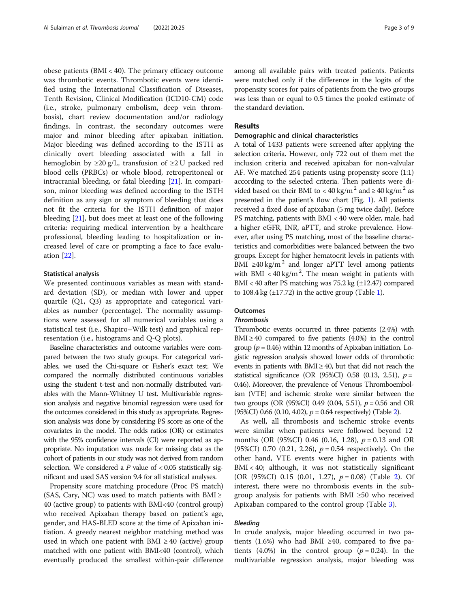obese patients (BMI < 40). The primary efficacy outcome was thrombotic events. Thrombotic events were identified using the International Classification of Diseases, Tenth Revision, Clinical Modification (ICD10-CM) code (i.e., stroke, pulmonary embolism, deep vein thrombosis), chart review documentation and/or radiology findings. In contrast, the secondary outcomes were major and minor bleeding after apixaban initiation. Major bleeding was defined according to the ISTH as clinically overt bleeding associated with a fall in hemoglobin by  $\geq 20$  g/L, transfusion of  $\geq 2$  U packed red blood cells (PRBCs) or whole blood, retroperitoneal or intracranial bleeding, or fatal bleeding [\[21\]](#page-8-0). In comparison, minor bleeding was defined according to the ISTH definition as any sign or symptom of bleeding that does not fit the criteria for the ISTH definition of major bleeding [\[21\]](#page-8-0), but does meet at least one of the following criteria: requiring medical intervention by a healthcare professional, bleeding leading to hospitalization or increased level of care or prompting a face to face evaluation [\[22](#page-8-0)].

#### Statistical analysis

We presented continuous variables as mean with standard deviation (SD), or median with lower and upper quartile (Q1, Q3) as appropriate and categorical variables as number (percentage). The normality assumptions were assessed for all numerical variables using a statistical test (i.e., Shapiro–Wilk test) and graphical representation (i.e., histograms and Q-Q plots).

Baseline characteristics and outcome variables were compared between the two study groups. For categorical variables, we used the Chi-square or Fisher's exact test. We compared the normally distributed continuous variables using the student t-test and non-normally distributed variables with the Mann-Whitney U test. Multivariable regression analysis and negative binomial regression were used for the outcomes considered in this study as appropriate. Regression analysis was done by considering PS score as one of the covariates in the model. The odds ratios (OR) or estimates with the 95% confidence intervals (CI) were reported as appropriate. No imputation was made for missing data as the cohort of patients in our study was not derived from random selection. We considered a  $P$  value of  $< 0.05$  statistically significant and used SAS version 9.4 for all statistical analyses.

Propensity score matching procedure (Proc PS match) (SAS, Cary, NC) was used to match patients with BMI  $\ge$ 40 (active group) to patients with BMI<40 (control group) who received Apixaban therapy based on patient's age, gender, and HAS-BLED score at the time of Apixaban initiation. A greedy nearest neighbor matching method was used in which one patient with BMI  $\geq$  40 (active) group matched with one patient with BMI<40 (control), which eventually produced the smallest within-pair difference among all available pairs with treated patients. Patients were matched only if the difference in the logits of the propensity scores for pairs of patients from the two groups was less than or equal to 0.5 times the pooled estimate of the standard deviation.

#### Results

#### Demographic and clinical characteristics

A total of 1433 patients were screened after applying the selection criteria. However, only 722 out of them met the inclusion criteria and received apixaban for non-valvular AF. We matched 254 patients using propensity score (1:1) according to the selected criteria. Then patients were divided based on their BMI to < 40 kg/m<sup>2</sup> and  $\geq$  40 kg/m<sup>2</sup> as presented in the patient's flow chart (Fig. [1\)](#page-3-0). All patients received a fixed dose of apixaban (5 mg twice daily). Before PS matching, patients with BMI < 40 were older, male, had a higher eGFR, INR, aPTT, and stroke prevalence. However, after using PS matching, most of the baseline characteristics and comorbidities were balanced between the two groups. Except for higher hematocrit levels in patients with BMI ≥40 kg/m<sup>2</sup> and longer aPTT level among patients with BMI <  $40 \text{ kg/m}^2$ . The mean weight in patients with BMI < 40 after PS matching was  $75.2 \text{ kg } (\pm 12.47)$  compared to  $108.4 \text{ kg } (\pm 17.72)$  in the active group (Table [1\)](#page-4-0).

#### **Outcomes**

#### **Thrombosis**

Thrombotic events occurred in three patients (2.4%) with BMI  $\geq$  40 compared to five patients (4.0%) in the control group ( $p = 0.46$ ) within 12 months of Apixaban initiation. Logistic regression analysis showed lower odds of thrombotic events in patients with  $BMI \geq 40$ , but that did not reach the statistical significance (OR (95%CI) 0.58 (0.13, 2.51),  $p =$ 0.46). Moreover, the prevalence of Venous Thromboembolism (VTE) and ischemic stroke were similar between the two groups (OR (95%CI) 0.49 (0.04, 5.51),  $p = 0.56$  and OR (95%CI) 0.66 (0.10, 4.0[2\)](#page-5-0),  $p = 0.64$  respectively) (Table 2).

As well, all thrombosis and ischemic stroke events were similar when patients were followed beyond 12 months (OR (95%CI) 0.46 (0.16, 1.28),  $p = 0.13$  and OR (95%CI) 0.70 (0.21, 2.26),  $p = 0.54$  respectively). On the other hand, VTE events were higher in patients with BMI < 40; although, it was not statistically significant (OR (95%CI) 0.15 (0.01, 1.27),  $p = 0.08$ ) (Table [2\)](#page-5-0). Of interest, there were no thrombosis events in the subgroup analysis for patients with BMI ≥50 who received Apixaban compared to the control group (Table [3\)](#page-6-0).

#### Bleeding

In crude analysis, major bleeding occurred in two patients  $(1.6%)$  who had BMI ≥40, compared to five patients (4.0%) in the control group ( $p = 0.24$ ). In the multivariable regression analysis, major bleeding was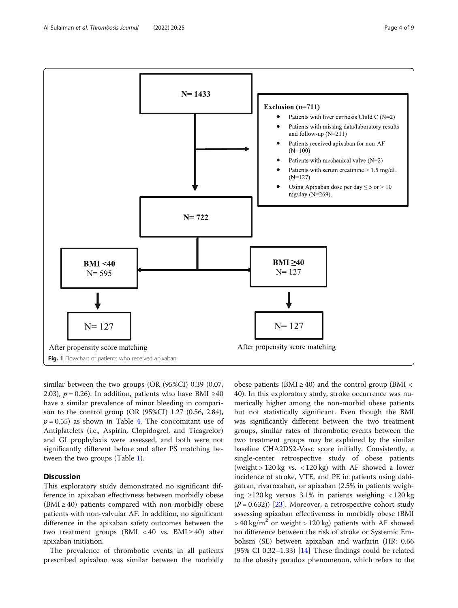<span id="page-3-0"></span>

similar between the two groups (OR (95%CI) 0.39 (0.07, 2.03),  $p = 0.26$ ). In addition, patients who have BMI ≥40 have a similar prevalence of minor bleeding in comparison to the control group (OR (95%CI) 1.27 (0.56, 2.84),  $p = 0.55$ ) as shown in Table [4.](#page-6-0) The concomitant use of Antiplatelets (i.e., Aspirin, Clopidogrel, and Ticagrelor) and GI prophylaxis were assessed, and both were not significantly different before and after PS matching between the two groups (Table [1\)](#page-4-0).

#### **Discussion**

This exploratory study demonstrated no significant difference in apixaban effectivness between morbidly obese  $(BMI \geq 40)$  patients compared with non-morbidly obese patients with non-valvular AF. In addition, no significant difference in the apixaban safety outcomes between the two treatment groups (BMI < 40 vs. BMI  $\geq$  40) after apixaban initiation.

The prevalence of thrombotic events in all patients prescribed apixaban was similar between the morbidly

obese patients (BMI  $\geq$  40) and the control group (BMI  $\lt$ 40). In this exploratory study, stroke occurrence was numerically higher among the non-morbid obese patients but not statistically significant. Even though the BMI was significantly different between the two treatment groups, similar rates of thrombotic events between the two treatment groups may be explained by the similar baseline CHA2DS2-Vasc score initially. Consistently, a single-center retrospective study of obese patients (weight  $> 120 \text{ kg}$  vs.  $< 120 \text{ kg}$ ) with AF showed a lower incidence of stroke, VTE, and PE in patients using dabigatran, rivaroxaban, or apixaban (2.5% in patients weighing ≥120 kg versus 3.1% in patients weighing < 120 kg  $(P = 0.632)$  [[23\]](#page-8-0). Moreover, a retrospective cohort study assessing apixaban effectiveness in morbidly obese (BMI  $>$  40 kg/m<sup>2</sup> or weight  $>$  120 kg) patients with AF showed no difference between the risk of stroke or Systemic Embolism (SE) between apixaban and warfarin (HR: 0.66  $(95\% \text{ CI } 0.32-1.33)$  [\[14\]](#page-7-0) These findings could be related to the obesity paradox phenomenon, which refers to the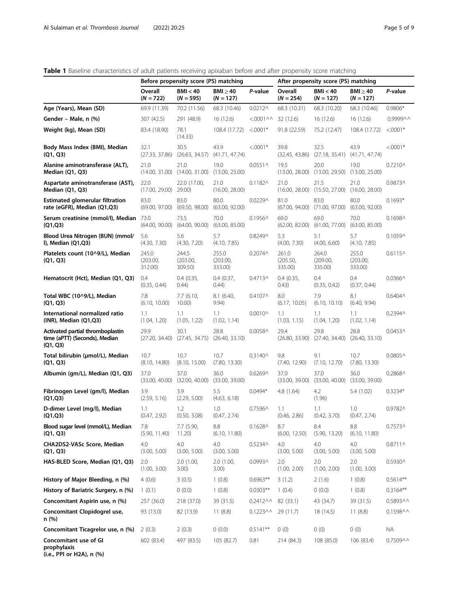#### <span id="page-4-0"></span>Table 1 Baseline characteristics of adult patients receiving apixaban before and after propensity score matching

|                                                                               | Before propensity score (PS) matching |                                                            |                              |                              | After propensity score (PS) matching |                                           |                              |                    |
|-------------------------------------------------------------------------------|---------------------------------------|------------------------------------------------------------|------------------------------|------------------------------|--------------------------------------|-------------------------------------------|------------------------------|--------------------|
|                                                                               | Overall<br>$(N = 722)$                | <b>BMI &lt; 40</b><br>$(N = 595)$                          | $BMl \geq 40$<br>$(N = 127)$ | P-value                      | Overall<br>$(N = 254)$               | <b>BMI &lt; 40</b><br>$(N = 127)$         | BMI $\geq$ 40<br>$(N = 127)$ | P-value            |
| Age (Years), Mean (SD)                                                        | 69.9 (11.39)                          | 70.2 (11.56)                                               | 68.3 (10.46)                 | $0.0212^$                    | 68.3 (10.31)                         | 68.3 (10.20)                              | 68.3 (10.46)                 | $0.9806*$          |
| Gender – Male, n (%)                                                          | 307 (42.5)                            | 291 (48.9)                                                 | 16(12.6)                     | $<.0001\land\land$ 32 (12.6) |                                      | 16(12.6)                                  | 16(12.6)                     | 0.9999^^           |
| Weight (kg), Mean (SD)                                                        | 83.4 (18.90)                          | 78.1<br>(14.33)                                            | 108.4 (17.72)                | $< 0.0001*$                  | 91.8 (22.59)                         | 75.2 (12.47)                              | 108.4 (17.72)                | $< 0.0001*$        |
| Body Mass Index (BMI), Median<br>(Q1, Q3)                                     | 32.1                                  | 30.5<br>$(27.33, 37.86)$ $(26.63, 34.57)$                  | 43.9<br>(41.71, 47.74)       | $< 0.001*$                   | 39.8<br>(32.45, 43.86)               | 32.5<br>$(27.18, 35.41)$ $(41.71, 47.74)$ | 43.9                         | $< 0.0001*$        |
| Alanine aminotransferase (ALT),<br>Median (Q1, Q3)                            | 21.0                                  | 21.0<br>$(14.00, 31.00)$ $(14.00, 31.00)$ $(13.00, 25.00)$ | 19.0                         | $0.0551 \wedge$              | 19.5<br>(13.00, 28.00)               | 20.0<br>(13.00, 29.50)                    | 19.0<br>(13.00, 25.00)       | $0.7210 \wedge$    |
| Aspartate aminotransferase (AST),<br>Median (Q1, Q3)                          | 22.0<br>$(17.00, 29.00)$ 29.00)       | 22.0 (17.00,                                               | 21.0<br>(16.00, 28.00)       | $0.1182 \wedge$              | 21.0<br>(16.00, 28.00)               | 21.5<br>(15.50, 27.00)                    | 21.0<br>(16.00, 28.00)       | 0.9873^            |
| <b>Estimated glomerular filtration</b><br>rate (eGFR), Median (Q1,Q3)         | 83.0<br>(69.00, 97.00)                | 83.0<br>(69.50, 98.00)                                     | 80.0<br>(63.00, 92.00)       | 0.0229^                      | 81.0<br>(67.00, 94.00)               | 83.0<br>(71.00, 97.00)                    | 80.0<br>(63.00, 92.00)       | $0.1693*$          |
| Serum creatinine (mmol/l), Median 73.0<br>(Q1,Q3)                             | (64.00, 90.00)                        | 73.5<br>(64.00, 90.00)                                     | 70.0<br>(63.00, 85.00)       | $0.1956 \wedge$              | 69.0<br>(62.00, 82.00)               | 69.0<br>(61.00, 77.00)                    | 70.0<br>(63.00, 85.00)       | $0.1698 \wedge$    |
| Blood Urea Nitrogen (BUN) (mmol/<br>I), Median (Q1,Q3)                        | 5.6<br>(4.30, 7.30)                   | 5.6<br>(4.30, 7.20)                                        | 5.7<br>(4.10, 7.85)          | 0.8249^                      | 5.3<br>(4.00, 7.30)                  | 5.1<br>(4.00, 6.60)                       | 5.7<br>(4.10, 7.85)          | $0.1059^$          |
| Platelets count (10^9/L), Median<br>(Q1, Q3)                                  | 245.0<br>(203.00,<br>312.00)          | 244.5<br>(203.00,<br>309.50)                               | 255.0<br>(203.00,<br>333.00) | $0.2074 \wedge$              | 261.0<br>(205.50,<br>335.00)         | 264.0<br>(209.00,<br>335.00)              | 255.0<br>(203.00,<br>333.00) | $0.6115^$          |
| Hematocrit (Hct), Median (Q1, Q3)                                             | 0.4<br>(0.35, 0.44)                   | 0.4(0.35,<br>(0.44)                                        | $0.4$ (0.37,<br>(0.44)       | 0.4713^                      | 0.4(0.35,<br>(0.43)                  | 0.4<br>(0.35, 0.42)                       | 0.4<br>(0.37, 0.44)          | $0.0366^$          |
| Total WBC (10^9/L), Median<br>(Q1, Q3)                                        | 7.8<br>(6.10, 10.00)                  | 7.7(6.10,<br>10.00)                                        | 8.1(6.40,<br>9.94)           | $0.4107 \wedge$              | 8.0<br>(6.17, 10.05)                 | 7.9<br>(6.10, 10.10)                      | 8.1<br>(6.40, 9.94)          | $0.6404\wedge$     |
| International normalized ratio<br>(INR), Median (Q1,Q3)                       | 1.1<br>(1.04, 1.20)                   | 1.1<br>(1.05, 1.22)                                        | 1.1<br>(1.02, 1.14)          | $0.0010 \wedge$              | 1.1<br>(1.03, 1.15)                  | 1.1<br>(1.04, 1.20)                       | 1.1<br>(1.02, 1.14)          | 0.2394^            |
| Activated partial thromboplastin<br>time (aPTT) (Seconds), Median<br>(Q1, Q3) | 29.9                                  | 30.1<br>$(27.20, 34.40)$ $(27.45, 34.75)$ $(26.40, 33.10)$ | 28.8                         | $0.0058^$                    | 29.4<br>(26.80, 33.90)               | 29.8<br>(27.40, 34.40)                    | 28.8<br>(26.40, 33.10)       | $0.0453 \wedge$    |
| Total bilirubin (µmol/L), Median<br>(Q1, Q3)                                  | 10.7<br>(8.10, 14.80)                 | 10.7<br>(8.10, 15.00)                                      | 10.7<br>(7.80, 13.30)        | $0.3140 \wedge$              | 9.8<br>(7.40, 12.90)                 | 9.1<br>(7.10, 12.70)                      | 10.7<br>(7.80, 13.30)        | $0.0805^$          |
| Albumin (gm/L), Median (Q1, Q3)                                               | 37.0<br>(33.00, 40.00)                | 37.0<br>(32.00, 40.00)                                     | 36.0<br>(33.00, 39.00)       | $0.6269^$                    | 37.0<br>(33.00, 39.00)               | 37.0<br>(33.00, 40.00)                    | 36.0<br>(33.00, 39.00)       | 0.2868^            |
| Fibrinogen Level (gm/l), Median<br>(Q1,Q3)                                    | 3.9<br>(2.59, 5.16)                   | 3.9<br>(2.29, 5.00)                                        | 5.5<br>(4.63, 6.18)          | $0.0494*$                    | 4.8 (1.64)                           | 4.2<br>(1.96)                             | 5.4 (1.02)                   | $0.3234*$          |
| D-dimer Level (mg/l), Median<br>(Q1,Q3)                                       | 1.1<br>(0.47, 2.92)                   | 1.2<br>(0.50, 3.08)                                        | 1.0<br>(0.47, 2.74)          | 0.7596^                      | 1.1<br>(0.46, 2.86)                  | 1.1<br>(0.42, 3.70)                       | 1.0<br>(0.47, 2.74)          | 0.9782^            |
| Blood sugar level (mmol/L), Median<br>(Q1, Q3)                                | 7.8<br>(5.90, 11.40)                  | 7.7 (5.90,<br>11.20                                        | 8.8<br>(6.10, 11.80)         | $0.1628$ $\wedge$            | 8.7<br>(6.00, 12.50)                 | 8.4<br>(5.90, 13.20)                      | 8.8<br>(6.10, 11.80)         | $0.7573^$          |
| CHA2DS2-VASc Score, Median<br>(Q1, Q3)                                        | 4.0<br>(3.00, 5.00)                   | 4.0<br>(3.00, 5.00)                                        | 4.0<br>(3.00, 5.00)          | $0.5234 \wedge$              | 4.0<br>(3.00, 5.00)                  | 4.0<br>(3.00, 5.00)                       | 4.0<br>(3.00, 5.00)          | $0.8711 \wedge$    |
| HAS-BLED Score, Median (Q1, Q3)                                               | 2.0<br>(1.00, 3.00)                   | 2.0(1.00,<br>3.00)                                         | 2.0(1.00,<br>3.00)           | 0.0993^                      | 2.0<br>(1.00, 2.00)                  | 2.0<br>(1.00, 2.00)                       | 2.0<br>(1.00, 3.00)          | 0.5930^            |
| History of Major Bleeding, n (%)                                              | 4(0.6)                                | 3(0.5)                                                     | 1(0.8)                       | $0.6963**$                   | 3(1.2)                               | 2(1.6)                                    | 1(0.8)                       | $0.5614**$         |
| History of Bariatric Surgery, n (%)                                           | 1(0.1)                                | 0(0.0)                                                     | 1(0.8)                       | $0.0303**$                   | 1(0.4)                               | 0(0.0)                                    | 1(0.8)                       | $0.3164**$         |
| Concomitant Aspirin use, n (%)                                                | 257 (36.0)                            | 218 (37.0)                                                 | 39 (31.5)                    | $0.2412\wedge\wedge$         | 82 (33.1)                            | 43 (34.7)                                 | 39 (31.5)                    | 0.5893^^           |
| Concomitant Clopidogrel use,<br>n (%)                                         | 93 (13.0)                             | 82 (13.9)                                                  | 11(8.8)                      | $0.1223\land\land$           | 29 (11.7)                            | 18 (14.5)                                 | 11(8.8)                      | $0.1598\land\land$ |
| Concomitant Ticagrelor use, n (%)                                             | 2(0.3)                                | 2(0.3)                                                     | (0.0)                        | $0.5141**$                   | 0(0)                                 | 0(0)                                      | 0(0)                         | <b>NA</b>          |
| Concomitant use of GI<br>prophylaxis                                          | 602 (83.4)                            | 497 (83.5)                                                 | 105 (82.7)                   | 0.81                         | 214 (84.3)                           | 108 (85.0)                                | 106 (83.4)                   | $0.7509\land\land$ |

(i.e., PPI or H2A), n (%)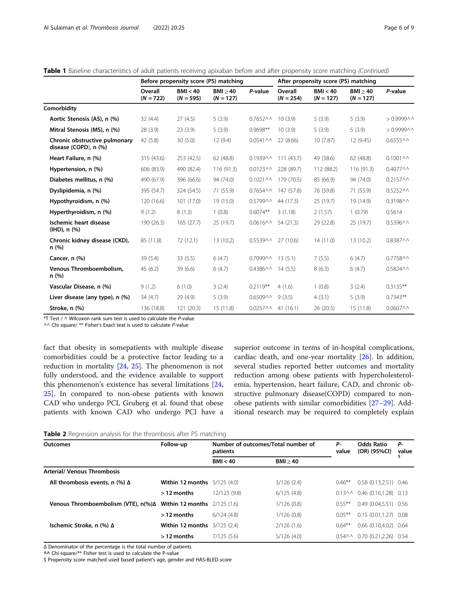<span id="page-5-0"></span>

|  |  | Table 1 Baseline characteristics of adult patients receiving apixaban before and after propensity score matching (Continued) |  |
|--|--|------------------------------------------------------------------------------------------------------------------------------|--|
|  |  |                                                                                                                              |  |

|                                                        | Before propensity score (PS) matching |                         |                         |                              | After propensity score (PS) matching |                         |                         |                               |
|--------------------------------------------------------|---------------------------------------|-------------------------|-------------------------|------------------------------|--------------------------------------|-------------------------|-------------------------|-------------------------------|
|                                                        | Overall<br>$(N = 722)$                | BMI < 40<br>$(N = 595)$ | BMI > 40<br>$(N = 127)$ | P-value                      | Overall<br>$(N = 254)$               | BMI < 40<br>$(N = 127)$ | BMI > 40<br>$(N = 127)$ | P-value                       |
| Comorbidity                                            |                                       |                         |                         |                              |                                      |                         |                         |                               |
| Aortic Stenosis (AS), n (%)                            | 32(4.4)                               | 27(4.5)                 | 5(3.9)                  | $0.7652\land\land$           | 10(3.9)                              | 5(3.9)                  | 5(3.9)                  | $> 0.99999$ $\wedge$ $\wedge$ |
| Mitral Stenosis (MS), n (%)                            | 28 (3.9)                              | 23(3.9)                 | 5(3.9)                  | $0.9698**$                   | 10(3.9)                              | 5(3.9)                  | 5(3.9)                  | $> 0.99999$ $\wedge$ $\wedge$ |
| Chronic obstructive pulmonary<br>disease (COPD), n (%) | 42 (5.8)                              | 30(5.0)                 | 12(9.4)                 | $0.0541\land\land$           | 22 (8.66)                            | 10(7.87)                | 12 (9.45)               | $0.6555$ $\land$ $\land$      |
| Heart Failure, n (%)                                   | 315 (43.6)                            | 253(42.5)               | 62 (48.8)               |                              | $0.1939 \wedge \wedge 111 (43.7)$    | 49 (38.6)               | 62 (48.8)               | $0.1001\land\land$            |
| Hypertension, n (%)                                    | 606 (83.9)                            | 490 (82.4)              | 116(91.3)               |                              | $0.0123\land\land$ 228 (89.7)        | 112 (88.2)              | 116 (91.3)              | $0.4077\wedge\wedge$          |
| Diabetes mellitus, n (%)                               | 490 (67.9)                            | 396 (66.6)              | 94 (74.0)               | $0.1021\land\land$           | 179 (70.5)                           | 85 (66.9)               | 94 (74.0)               | $0.2157\land\land$            |
| Dyslipidemia, n (%)                                    | 395 (54.7)                            | 324 (54.5)              | 71 (55.9)               | $0.7654\land\land$           | 147 (57.8)                           | 76 (59.8)               | 71 (55.9)               | $0.5252\land\land$            |
| Hypothyroidism, n (%)                                  | 120 (16.6)                            | 101(17.0)               | 19 (15.0)               | 0.5799^^                     | 44 (17.3)                            | 25 (19.7)               | 19 (14.9)               | 0.3198^^                      |
| Hyperthyroidism, n (%)                                 | 9(1.2)                                | 8(1.3)                  | 1(0.8)                  | $0.6074**$                   | 3(1.18)                              | 2(1.57)                 | 1(0.79)                 | 0.5614                        |
| Ischemic heart disease<br>$(HID)$ , n $(\%)$           | 190 (26.3)                            | 165(27.7)               | 25 (19.7)               | $0.0616\land\land$           | 54 (21.3)                            | 29 (22.8)               | 25 (19.7)               | 0.5396^^                      |
| Chronic kidney disease (CKD),<br>n (%)                 | 85 (11.8)                             | 72 (12.1)               | 13(10.2)                | $0.5539\land\land$ 27 (10.6) |                                      | 14(11.0)                | 13(10.2)                | 0.8387^^                      |
| Cancer, n (%)                                          | 39(5.4)                               | 33(5.5)                 | 6(4.7)                  | $0.7099$ ^ ^                 | 13(5.1)                              | 7(5.5)                  | 6(4.7)                  | 0.7758^^                      |
| Venous Thromboembolism,<br>n (%)                       | 45(6.2)                               | 39(6.6)                 | 6(4.7)                  | $0.4386\land\land$ 14 (5.5)  |                                      | 8(6.3)                  | 6(4.7)                  | $0.5824\land\land$            |
| Vascular Disease, n (%)                                | 9(1.2)                                | 6(1.0)                  | 3(2.4)                  | $0.2119**$                   | 4(1.6)                               | 1(0.8)                  | 3(2.4)                  | $0.3135**$                    |
| Liver disease (any type), n (%)                        | 34(4.7)                               | 29 (4.9)                | 5(3.9)                  | $0.6509\land 9(3.5)$         |                                      | 4(3.1)                  | 5(3.9)                  | $0.7343**$                    |
| Stroke, n (%)                                          | 136 (18.8)                            | 121(20.3)               | 15(11.8)                | $0.0257\land\land$ 41 (16.1) |                                      | 26(20.5)                | 15(11.8)                | $0.0607\land\land$            |

 $*T$  Test /  $\land$  Wilcoxon rank sum test is used to calculate the P-value

 $\wedge\wedge$  Chi square/ \*\* Fisher's Exact teat is used to calculate P-value

fact that obesity in somepatients with multiple disease comorbidities could be a protective factor leading to a reduction in mortality [\[24,](#page-8-0) [25\]](#page-8-0). The phenomenon is not fully understood, and the evidence available to support this phenomenon's existence has several limitations [[24](#page-8-0), [25\]](#page-8-0). In compared to non-obese patients with known CAD who undergo PCI, Gruberg et al. found that obese patients with known CAD who undergo PCI have a superior outcome in terms of in-hospital complications, cardiac death, and one-year mortality [\[26](#page-8-0)]. In addition, several studies reported better outcomes and mortality reduction among obese patients with hypercholesterolemia, hypertension, heart failure, CAD, and chronic obstructive pulmonary disease(COPD) compared to nonobese patients with similar comorbidities [[27](#page-8-0)–[29\]](#page-8-0). Additional research may be required to completely explain

|  |  |  | Table 2 Regression analysis for the thrombosis after PS matching |
|--|--|--|------------------------------------------------------------------|

| <b>Outcomes</b>                          | Follow-up                             | Number of outcomes/Total number of<br>patients | Р-<br>value | <b>Odds Ratio</b><br>(OR) (95%CI) | Р-<br>value                            |  |
|------------------------------------------|---------------------------------------|------------------------------------------------|-------------|-----------------------------------|----------------------------------------|--|
|                                          |                                       | BMI < 40                                       | BMI > 40    |                                   |                                        |  |
| <b>Arterial/ Venous Thrombosis</b>       |                                       |                                                |             |                                   |                                        |  |
| All thrombosis events, n $(\%)$ $\Delta$ | <b>Within 12 months</b> $5/125(4.0)$  |                                                | 3/126(2.4)  | $0.46***$                         | $0.58(0.13, 2.51)$ 0.46                |  |
|                                          | $>$ 12 months                         | 12/123 (9.8)                                   | 6/125(4.8)  |                                   | $0.13\land\land$ 0.46 (0.16.1.28) 0.13 |  |
| Venous Thromboembolism (VTE), n(%)Δ      | <b>Within 12 months</b> 2/125 (1.6)   |                                                | 1/126(0.8)  | $0.55***$                         | $0.49(0.04, 5.51)$ 0.56                |  |
|                                          | $>$ 12 months                         | 6/124(4.8)                                     | 1/126(0.8)  | $0.05***$                         | 0.15(0.01, 1.27)0.08                   |  |
| Ischemic Stroke, n (%) Δ                 | <b>Within 12 months</b> $3/125$ (2.4) |                                                | 2/126(1.6)  | $0.64***$                         | $0.66(0.10.4.02)$ 0.64                 |  |
|                                          | $>$ 12 months                         | 7/125(5.6)                                     | 5/126(4.0)  |                                   | $0.54\,$ $0.70$ $(0.21.2.26)$ $0.54$   |  |

Δ Denominator of the percentage is the total number of patients

^^ Chi-square/\*\* Fisher test is used to calculate the P-value

\$ Propensity score matched used based patient's age, gender and HAS-BLED score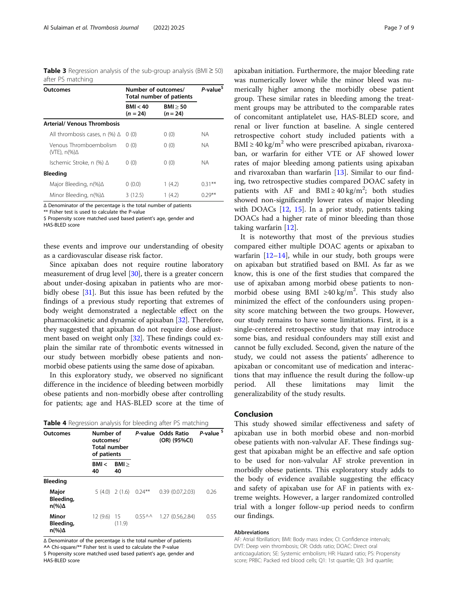<span id="page-6-0"></span>Table 3 Regression analysis of the sub-group analysis (BMI  $\geq$  50) after PS matching

| Outcomes                                | Number of outcomes/<br>Total number of patients | P-value <sup>\$</sup>  |           |
|-----------------------------------------|-------------------------------------------------|------------------------|-----------|
|                                         | BM < 40<br>$(n = 24)$                           | BMI > 50<br>$(n = 24)$ |           |
| <b>Arterial/ Venous Thrombosis</b>      |                                                 |                        |           |
| All thrombosis cases, n $(\%)$ $\Delta$ | 0(0)                                            | 0(0)                   | NА        |
| Venous Thromboembolism<br>(VTE), n(%)Δ  | 0(0)                                            | 0(0)                   | NА        |
| Ischemic Stroke, n (%) ∆                | 0(0)                                            | 0(0)                   | NА        |
| <b>Bleeding</b>                         |                                                 |                        |           |
| Major Bleeding, n(%)∆                   | 0(0.0)                                          | 1(4.2)                 | $0.31***$ |
| Minor Bleeding, n(%)∆                   | 3(12.5)                                         | 1(4.2)                 | $0.29***$ |

Δ Denominator of the percentage is the total number of patients

\*\* Fisher test is used to calculate the P-value \$ Propensity score matched used based patient's age, gender and

HAS-BLED score

these events and improve our understanding of obesity as a cardiovascular disease risk factor.

Since apixaban does not require routine laboratory measurement of drug level [\[30\]](#page-8-0), there is a greater concern about under-dosing apixaban in patients who are mor-bidly obese [\[31\]](#page-8-0). But this issue has been refuted by the findings of a previous study reporting that extremes of body weight demonstrated a neglectable effect on the pharmacokinetic and dynamic of apixaban [\[32](#page-8-0)]. Therefore, they suggested that apixaban do not require dose adjust-ment based on weight only [[32](#page-8-0)]. These findings could explain the similar rate of thrombotic events witnessed in our study between morbidly obese patients and nonmorbid obese patients using the same dose of apixaban.

In this exploratory study, we observed no significant difference in the incidence of bleeding between morbidly obese patients and non-morbidly obese after controlling for patients; age and HAS-BLED score at the time of

|  | Table 4 Regression analysis for bleeding after PS matching |  |
|--|------------------------------------------------------------|--|
|  |                                                            |  |

| <b>Outcomes</b>                               | Number of<br>outcomes/<br><b>Total number</b><br>of patients |                   | P-value Odds Ratio<br>(OR) (95%CI) |                  | P-value <sup>\$</sup> |  |
|-----------------------------------------------|--------------------------------------------------------------|-------------------|------------------------------------|------------------|-----------------------|--|
|                                               | BM <<br>40                                                   | BM<br>40          |                                    |                  |                       |  |
| <b>Bleeding</b>                               |                                                              |                   |                                    |                  |                       |  |
| Major<br>Bleeding,<br>$n\frac{9}{6}$ $\Delta$ |                                                              | $5(4.0)$ $2(1.6)$ | $0.24***$                          | 0.39(0.07, 2.03) | 0.26                  |  |
| Minor<br>Bleeding,<br>$n\frac{9}{6}$ $\Delta$ | 12 (9.6)                                                     | - 15<br>(11.9)    | 0.55 <sup>0</sup>                  | 1.27(0.56, 2.84) | 0.55                  |  |

Δ Denominator of the percentage is the total number of patients ^^ Chi-square/\*\* Fisher test is used to calculate the P-value \$ Propensity score matched used based patient's age, gender and

HAS-BLED score

apixaban initiation. Furthermore, the major bleeding rate was numerically lower while the minor bleed was numerically higher among the morbidly obese patient group. These similar rates in bleeding among the treatment groups may be attributed to the comparable rates of concomitant antiplatelet use, HAS-BLED score, and renal or liver function at baseline. A single centered retrospective cohort study included patients with a BMI  $\geq$  40 kg/m<sup>2</sup> who were prescribed apixaban, rivaroxaban, or warfarin for either VTE or AF showed lower rates of major bleeding among patients using apixaban and rivaroxaban than warfarin [[13\]](#page-7-0). Similar to our finding, two retrospective studies compared DOAC safety in patients with AF and BMI  $\geq$  40 kg/m<sup>2</sup>; both studies showed non-significantly lower rates of major bleeding with DOACs [[12](#page-7-0), [15\]](#page-7-0). In a prior study, patients taking DOACs had a higher rate of minor bleeding than those taking warfarin [[12\]](#page-7-0).

It is noteworthy that most of the previous studies compared either multiple DOAC agents or apixaban to warfarin  $[12-14]$  $[12-14]$  $[12-14]$  $[12-14]$  $[12-14]$ , while in our study, both groups were on apixaban but stratified based on BMI. As far as we know, this is one of the first studies that compared the use of apixaban among morbid obese patients to nonmorbid obese using BMI ≥40 kg/m<sup>2</sup>. This study also minimized the effect of the confounders using propensity score matching between the two groups. However, our study remains to have some limitations. First, it is a single-centered retrospective study that may introduce some bias, and residual confounders may still exist and cannot be fully excluded. Second, given the nature of the study, we could not assess the patients' adherence to apixaban or concomitant use of medication and interactions that may influence the result during the follow-up period. All these limitations may limit the generalizability of the study results.

#### Conclusion

This study showed similar effectiveness and safety of apixaban use in both morbid obese and non-morbid obese patients with non-valvular AF. These findings suggest that apixaban might be an effective and safe option to be used for non-valvular AF stroke prevention in morbidly obese patients. This exploratory study adds to the body of evidence available suggesting the efficacy and safety of apixaban use for AF in patients with extreme weights. However, a larger randomized controlled trial with a longer follow-up period needs to confirm our findings.

#### Abbreviations

AF: Atrial fibrillation; BMI: Body mass index; CI: Confidence intervals; DVT: Deep vein thrombosis; OR: Odds ratio; DOAC: Direct oral anticoagulation; SE: Systemic embolism; HR: Hazard ratio; PS: Propensity score; PRBC: Packed red blood cells; Q1: 1st quartile; Q3: 3rd quartile;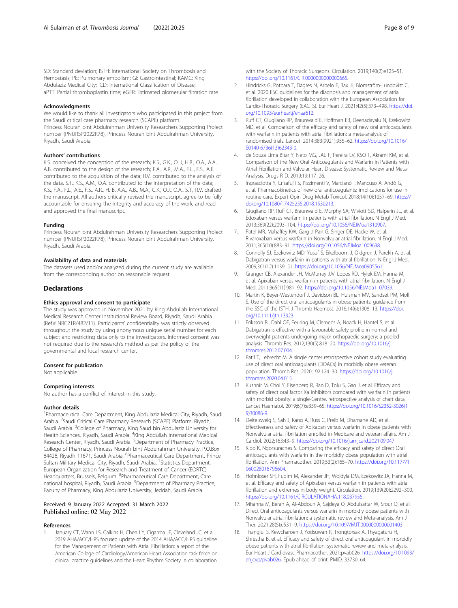<span id="page-7-0"></span>SD: Standard deviation; ISTH: International Society on Thrombosis and Hemostasis; PE: Pulmonary embolism; GI: Gastrointestinal; KAMC: King Abdulaziz Medical City; ICD: International Classification of Disease; aPTT: Partial thromboplastin time; eGFR: Estimated glomerular filtration rate

#### Acknowledgments

We would like to thank all investigators who participated in this project from the Saudi critical care pharmacy research (SCAPE) platform. Princess Nourah bint Abdulrahman University Researchers Supporting Project number (PNURSP2022R78), Princess Nourah bint Abdulrahman University, Riyadh, Saudi Arabia.

#### Authors' contributions

K.S. conceived the conception of the research; K.S., G.K., O. J, H.B., O.A., A.A., A.B. contributed to the design of the research; F.A., A.R., M.A., F.L., F.S., A.E. contributed to the acquisition of the data; R.V. contributed to the analysis of the data. S.T., K.S., A.M., O.A. contributed to the interpretation of the data; K.S., F.A., F.L., A.E., F.S., A.R., H. B, A.A., A.B., M.A., G.K., O.J., O.A., S.T., R.V. drafted the manuscript. All authors critically revised the manuscript, agree to be fully accountable for ensuring the integrity and accuracy of the work, and read and approved the final manuscript.

#### Funding

Princess Nourah bint Abdulrahman University Researchers Supporting Project number (PNURSP2022R78), Princess Nourah bint Abdulrahman University, Riyadh, Saudi Arabia.

#### Availability of data and materials

The datasets used and/or analyzed during the current study are available from the corresponding author on reasonable request.

#### **Declarations**

#### Ethics approval and consent to participate

The study was approved in November 2021 by King Abdullah International Medical Research Center Institutional Review Board, Riyadh, Saudi Arabia (Ref.# NRC21R/482/11). Participants' confidentiality was strictly observed throughout the study by using anonymous unique serial number for each subject and restricting data only to the investigators. Informed consent was not required due to the research's method as per the policy of the governmental and local research center.

#### Consent for publication

Not applicable.

#### Competing interests

No author has a conflict of interest in this study.

#### Author details

<sup>1</sup>Pharmaceutical Care Department, King Abdulaziz Medical City, Riyadh, Saudi Arabia. <sup>2</sup>Saudi Critical Care Pharmacy Research (SCAPE) Platform, Riyadh, Saudi Arabia. <sup>3</sup>College of Pharmacy, King Saud bin Abdulaziz University for Health Sciences, Riyadh, Saudi Arabia. <sup>4</sup>King Abdullah International Medical Research Center, Riyadh, Saudi Arabia. <sup>5</sup>Department of Pharmacy Practice, College of Pharmacy, Princess Nourah bint Abdulrahman University, P.O.Box 84428, Riyadh 11671, Saudi Arabia. <sup>6</sup>Pharmaceutical Care Department, Prince Sultan Military Medical City, Riyadh, Saudi Arabia. <sup>7</sup>Statistics Department, European Organization for Research and Treatment of Cancer (EORTC) Headquarters, Brussels, Belgium. <sup>8</sup>Pharmaceutical Care Department, Care national hospital, Riyadh, Saudi Arabia. <sup>9</sup>Department of Pharmacy Practice, Faculty of Pharmacy, King Abdulaziz University, Jeddah, Saudi Arabia.

#### Received: 9 January 2022 Accepted: 31 March 2022 Published online: 02 May 2022

#### References

January CT, Wann LS, Calkins H, Chen LY, Cigarroa JE, Cleveland JC, et al. 2019 AHA/ACC/HRS focused update of the 2014 AHA/ACC/HRS guideline for the Management of Patients with Atrial Fibrillation: a report of the American College of Cardiology/American Heart Association task force on clinical practice guidelines and the Heart Rhythm Society in collaboration with the Society of Thoracic Surgeons. Circulation. 2019;140(2):e125–51. [https://doi.org/10.1161/CIR.0000000000000665.](https://doi.org/10.1161/CIR.0000000000000665)

- 2. Hindricks G, Potpara T, Dagres N, Arbelo E, Bax JJ, Blomström-Lundqvist C, et al. 2020 ESC guidelines for the diagnosis and management of atrial fibrillation developed in collaboration with the European Association for Cardio-Thoracic Surgery (EACTS). Eur Heart J. 2021;42(5):373–498. [https://doi.](https://doi.org/10.1093/eurheartj/ehaa612) [org/10.1093/eurheartj/ehaa612.](https://doi.org/10.1093/eurheartj/ehaa612)
- 3. Ruff CT, Giugliano RP, Braunwald E, Hoffman EB, Deenadayalu N, Ezekowitz MD, et al. Comparison of the efficacy and safety of new oral anticoagulants with warfarin in patients with atrial fibrillation: a meta-analysis of randomised trials. Lancet. 2014;383(9921):955–62. [https://doi.org/10.1016/](https://doi.org/10.1016/S0140-6736(13)62343-0) [S0140-6736\(13\)62343-0](https://doi.org/10.1016/S0140-6736(13)62343-0).
- 4. de Souza Lima Bitar Y, Neto MG, JAL F, Pereira LV, KSO T, Akrami KM, et al. Comparison of the New Oral Anticoagulants and Warfarin in Patients with Atrial Fibrillation and Valvular Heart Disease: Systematic Review and Meta-Analysis. Drugs R D. 2019;19:117–26.
- 5. Ingrasciotta Y, Crisafulli S, Pizzimenti V, Marcianò I, Mancuso A, Andò G, et al. Pharmacokinetics of new oral anticoagulants: implications for use in routine care. Expert Opin Drug Metab Toxicol. 2018;14(10):1057–69. [https://](https://doi.org/10.1080/17425255.2018.1530213) [doi.org/10.1080/17425255.2018.1530213.](https://doi.org/10.1080/17425255.2018.1530213)
- 6. Giugliano RP, Ruff CT, Braunwald E, Murphy SA, Wiviott SD, Halperin JL, et al. Edoxaban versus warfarin in patients with atrial fibrillation. N Engl J Med. 2013;369(22):2093–104. <https://doi.org/10.1056/NEJMoa1310907>.
- 7. Patel MR, Mahaffey KW, Garg J, Pan G, Singer DE, Hacke W, et al. Rivaroxaban versus warfarin in Nonvalvular atrial fibrillation. N Engl J Med. 2011;365(10):883–91. <https://doi.org/10.1056/NEJMoa1009638>.
- 8. Connolly SJ, Ezekowitz MD, Yusuf S, Eikelboom J, Oldgren J, Parekh A, et al. Dabigatran versus warfarin in patients with atrial fibrillation. N Engl J Med. 2009;361(12):1139–51. [https://doi.org/10.1056/NEJMoa0905561.](https://doi.org/10.1056/NEJMoa0905561)
- 9. Granger CB, Alexander JH, McMurray JJV, Lopes RD, Hylek EM, Hanna M, et al. Apixaban versus warfarin in patients with atrial fibrillation. N Engl J Med. 2011;365(11):981–92. <https://doi.org/10.1056/NEJMoa1107039>.
- 10. Martin K, Beyer-Westendorf J, Davidson BL, Huisman MV, Sandset PM, Moll S. Use of the direct oral anticoagulants in obese patients: guidance from the SSC of the ISTH. J Thromb Haemost. 2016;14(6):1308–13. [https://doi.](https://doi.org/10.1111/jth.13323) [org/10.1111/jth.13323.](https://doi.org/10.1111/jth.13323)
- 11. Eriksson BI, Dahl OE, Feuring M, Clemens A, Noack H, Hantel S, et al. Dabigatran is effective with a favourable safety profile in normal and overweight patients undergoing major orthopaedic surgery: a pooled analysis. Thromb Res. 2012;130(5):818–20. [https://doi.org/10.1016/j.](https://doi.org/10.1016/j.thromres.2012.07.004) [thromres.2012.07.004.](https://doi.org/10.1016/j.thromres.2012.07.004)
- 12. Patil T, Lebrecht M. A single center retrospective cohort study evaluating use of direct oral anticoagulants (DOACs) in morbidly obese veteran population. Thromb Res. 2020;192:124–30. [https://doi.org/10.1016/j.](https://doi.org/10.1016/j.thromres.2020.04.015) [thromres.2020.04.015.](https://doi.org/10.1016/j.thromres.2020.04.015)
- 13. Kushnir M, Choi Y, Eisenberg R, Rao D, Tolu S, Gao J, et al. Efficacy and safety of direct oral factor Xa inhibitors compared with warfarin in patients with morbid obesity: a single-Centre, retrospective analysis of chart data. Lancet Haematol. 2019;6(7):e359–65. [https://doi.org/10.1016/S2352-3026\(1](https://doi.org/10.1016/S2352-3026(19)30086-9) [9\)30086-9.](https://doi.org/10.1016/S2352-3026(19)30086-9)
- 14. Deitelzweig S, Sah J, Kang A, Russ C, Preib M, Dhamane AD, et al. Effectiveness and safety of Apixaban versus warfarin in obese patients with Nonvalvular atrial fibrillation enrolled in Medicare and veteran affairs. Am J Cardiol. 2022;163:43–9. <https://doi.org/10.1016/j.amjcard.2021.09.047>.
- 15. Kido K, Ngorsuraches S. Comparing the efficacy and safety of direct Oral anticoagulants with warfarin in the morbidly obese population with atrial fibrillation. Ann Pharmacother. 2019;53(2):165–70. [https://doi.org/10.1177/1](https://doi.org/10.1177/1060028018796604) [060028018796604.](https://doi.org/10.1177/1060028018796604)
- 16. Hohnloser SH, Fudim M, Alexander JH, Wojdyla DM, Ezekowitz JA, Hanna M, et al. Efficacy and safety of Apixaban versus warfarin in patients with atrial fibrillation and extremes in body weight. Circulation. 2019;139(20):2292–300. [https://doi.org/10.1161/CIRCULATIONAHA.118.037955.](https://doi.org/10.1161/CIRCULATIONAHA.118.037955)
- 17. Mhanna M, Beran A, Al-Abdouh A, Sajdeya O, Abdulsattar W, Srour O, et al. Direct Oral anticoagulants versus warfarin in morbidly obese patients with Nonvalvular atrial fibrillation: a systematic review and Meta-analysis. Am J Ther. 2021;28(5):e531–9. [https://doi.org/10.1097/MJT.0000000000001403.](https://doi.org/10.1097/MJT.0000000000001403)
- 18. Thangjui S, Kewcharoen J, Yodsuwan R, Trongtorsak A, Thyagaturu H, Shrestha B, et al. Efficacy and safety of direct oral anticoagulant in morbidly obese patients with atrial fibrillation: systematic review and meta-analysis. Eur Heart J Cardiovasc Pharmacother. 2021:pvab026. [https://doi.org/10.1093/](https://doi.org/10.1093/ehjcvp/pvab026) [ehjcvp/pvab026](https://doi.org/10.1093/ehjcvp/pvab026). Epub ahead of print. PMID: 33730164.